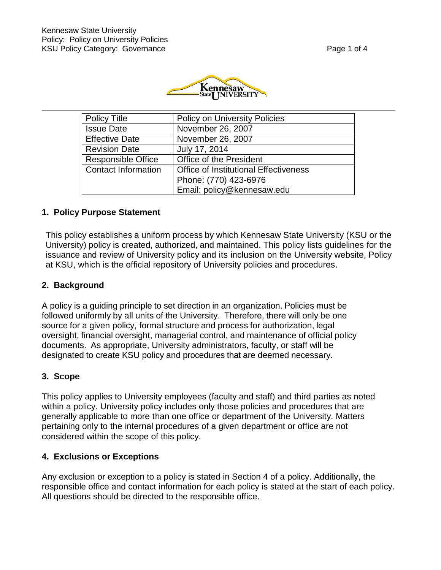

| <b>Policy Title</b>        | <b>Policy on University Policies</b>         |
|----------------------------|----------------------------------------------|
| <b>Issue Date</b>          | November 26, 2007                            |
| <b>Effective Date</b>      | November 26, 2007                            |
| <b>Revision Date</b>       | July 17, 2014                                |
| <b>Responsible Office</b>  | Office of the President                      |
| <b>Contact Information</b> | <b>Office of Institutional Effectiveness</b> |
|                            | Phone: (770) 423-6976                        |
|                            | Email: policy@kennesaw.edu                   |

#### **1. Policy Purpose Statement**

This policy establishes a uniform process by which Kennesaw State University (KSU or the University) policy is created, authorized, and maintained. This policy lists guidelines for the issuance and review of University policy and its inclusion on the University website, Policy at KSU, which is the official repository of University policies and procedures.

#### **2. Background**

A policy is a guiding principle to set direction in an organization. Policies must be followed uniformly by all units of the University. Therefore, there will only be one source for a given policy, formal structure and process for authorization, legal oversight, financial oversight, managerial control, and maintenance of official policy documents. As appropriate, University administrators, faculty, or staff will be designated to create KSU policy and procedures that are deemed necessary.

#### **3. Scope**

This policy applies to University employees (faculty and staff) and third parties as noted within a policy. University policy includes only those policies and procedures that are generally applicable to more than one office or department of the University. Matters pertaining only to the internal procedures of a given department or office are not considered within the scope of this policy.

#### **4. Exclusions or Exceptions**

Any exclusion or exception to a policy is stated in Section 4 of a policy. Additionally, the responsible office and contact information for each policy is stated at the start of each policy. All questions should be directed to the responsible office.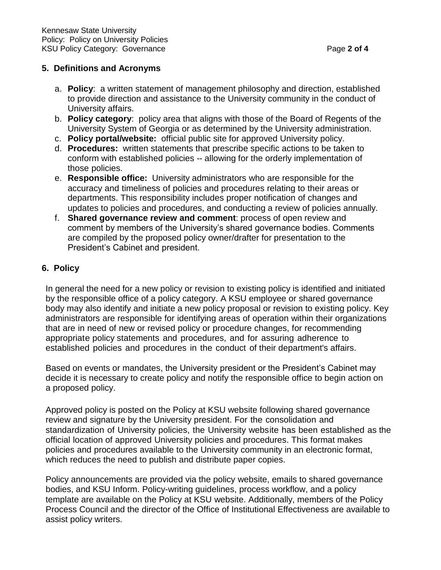# **5. Definitions and Acronyms**

- a. **Policy**: a written statement of management philosophy and direction, established to provide direction and assistance to the University community in the conduct of University affairs.
- b. **Policy category**: policy area that aligns with those of the Board of Regents of the University System of Georgia or as determined by the University administration.
- c. **Policy portal/website:** official public site for approved University policy.
- d. **Procedures:** written statements that prescribe specific actions to be taken to conform with established policies -- allowing for the orderly implementation of those policies.
- e. **Responsible office:** University administrators who are responsible for the accuracy and timeliness of policies and procedures relating to their areas or departments. This responsibility includes proper notification of changes and updates to policies and procedures, and conducting a review of policies annually.
- f. **Shared governance review and comment**: process of open review and comment by members of the University's shared governance bodies. Comments are compiled by the proposed policy owner/drafter for presentation to the President's Cabinet and president.

# **6. Policy**

In general the need for a new policy or revision to existing policy is identified and initiated by the responsible office of a policy category. A KSU employee or shared governance body may also identify and initiate a new policy proposal or revision to existing policy. Key administrators are responsible for identifying areas of operation within their organizations that are in need of new or revised policy or procedure changes, for recommending appropriate policy statements and procedures, and for assuring adherence to established policies and procedures in the conduct of their department's affairs.

Based on events or mandates, the University president or the President's Cabinet may decide it is necessary to create policy and notify the responsible office to begin action on a proposed policy.

Approved policy is posted on the Policy at KSU website following shared governance review and signature by the University president. For the consolidation and standardization of University policies, the University website has been established as the official location of approved University policies and procedures. This format makes policies and procedures available to the University community in an electronic format, which reduces the need to publish and distribute paper copies.

Policy announcements are provided via the policy website, emails to shared governance bodies, and KSU Inform. Policy-writing guidelines, process workflow, and a policy template are available on the Policy at KSU website. Additionally, members of the Policy Process Council and the director of the Office of Institutional Effectiveness are available to assist policy writers.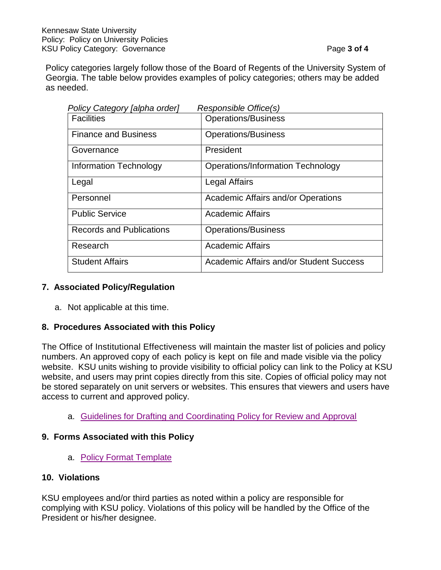Policy categories largely follow those of the Board of Regents of the University System of Georgia. The table below provides examples of policy categories; others may be added as needed.

| Policy Category [alpha order]   | Responsible Office(s)                     |
|---------------------------------|-------------------------------------------|
| <b>Facilities</b>               | <b>Operations/Business</b>                |
| <b>Finance and Business</b>     | <b>Operations/Business</b>                |
| Governance                      | President                                 |
| Information Technology          | <b>Operations/Information Technology</b>  |
| Legal                           | Legal Affairs                             |
| Personnel                       | <b>Academic Affairs and/or Operations</b> |
| <b>Public Service</b>           | <b>Academic Affairs</b>                   |
| <b>Records and Publications</b> | <b>Operations/Business</b>                |
| Research                        | <b>Academic Affairs</b>                   |
| <b>Student Affairs</b>          | Academic Affairs and/or Student Success   |

# **7. Associated Policy/Regulation**

a. Not applicable at this time.

# **8. Procedures Associated with this Policy**

The Office of Institutional Effectiveness will maintain the master list of policies and policy numbers. An approved copy of each policy is kept on file and made visible via the policy website. KSU units wishing to provide visibility to official policy can link to the Policy at KSU website, and users may print copies directly from this site. Copies of official policy may not be stored separately on unit servers or websites. This ensures that viewers and users have access to current and approved policy.

a. [Guidelines for Drafting and Coordinating Policy for Review and Approval](https://policy.kennesaw.edu/content/policy-writing-guidelines-template-and-flow-chart)

# **9. Forms Associated with this Policy**

a. [Policy Format Template](https://policy.kennesaw.edu/content/policy-writing-guidelines-template-and-flow-chart)

# **10. Violations**

KSU employees and/or third parties as noted within a policy are responsible for complying with KSU policy. Violations of this policy will be handled by the Office of the President or his/her designee.